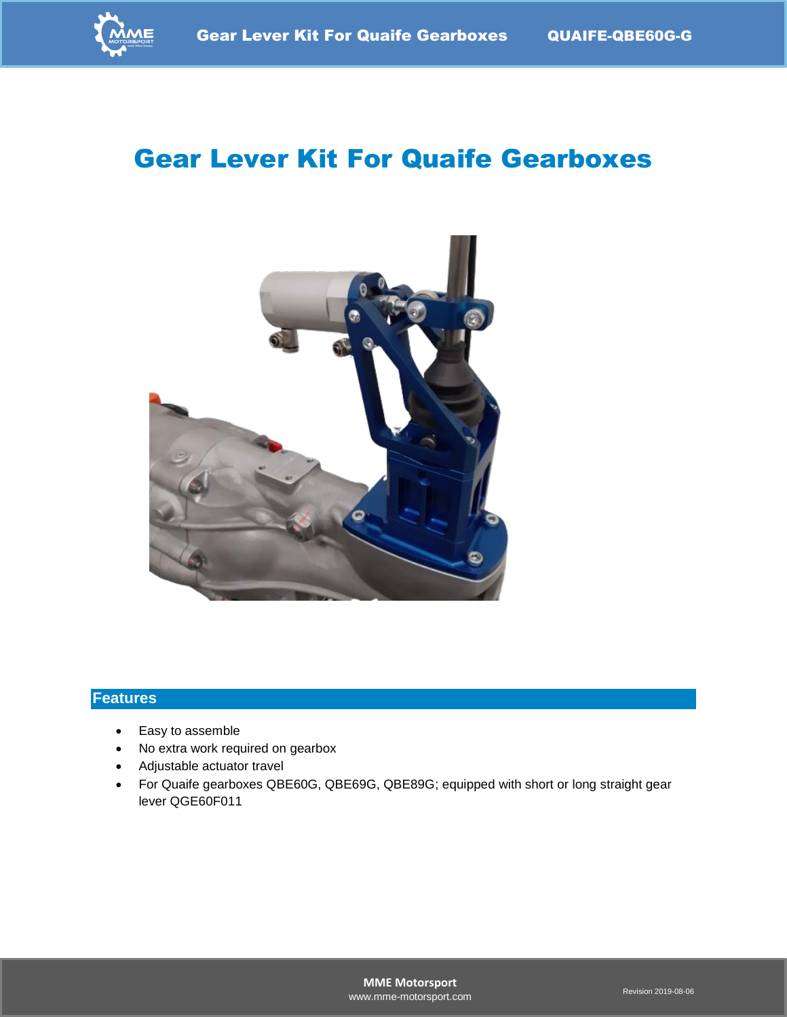

# Gear Lever Kit For Quaife Gearboxes



#### **Features**

- Easy to assemble
- No extra work required on gearbox
- Adjustable actuator travel
- For Quaife gearboxes QBE60G, QBE69G, QBE89G; equipped with short or long straight gear lever QGE60F011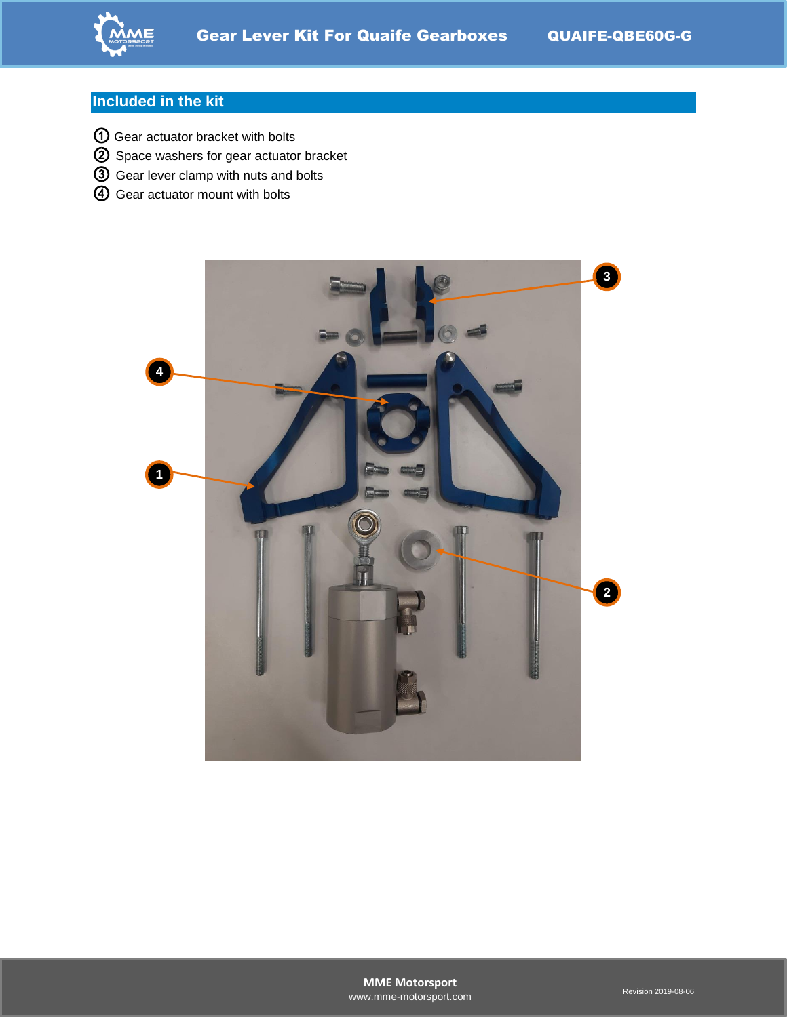

### **Included in the kit**

- Gear actuator bracket with bolts
- Space washers for gear actuator bracket
- Gear lever clamp with nuts and bolts
- Gear actuator mount with bolts

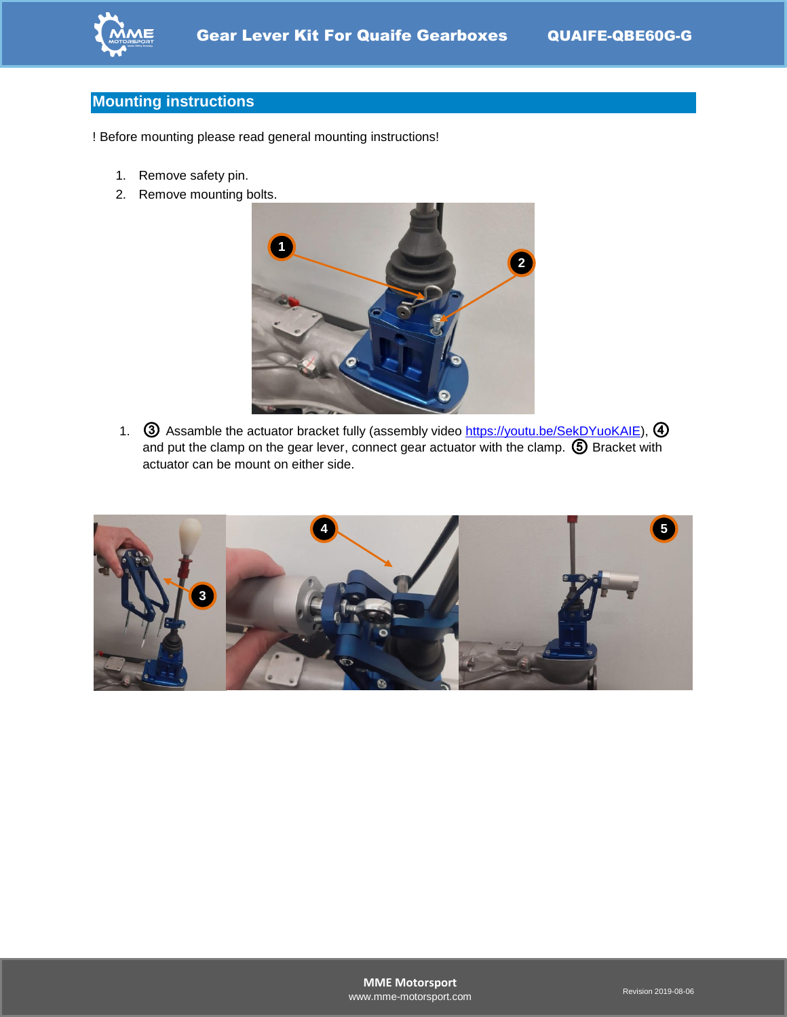

### **Mounting instructions**

! Before mounting please read general mounting instructions!

- 1. Remove safety pin.
- 2. Remove mounting bolts.



1. **③** Assamble the actuator bracket fully (assembly video [https://youtu.be/SekDYuoKAIE\)](https://youtu.be/SekDYuoKAIE), 4 and put the clamp on the gear lever, connect gear actuator with the clamp. ⑤ Bracket with actuator can be mount on either side.

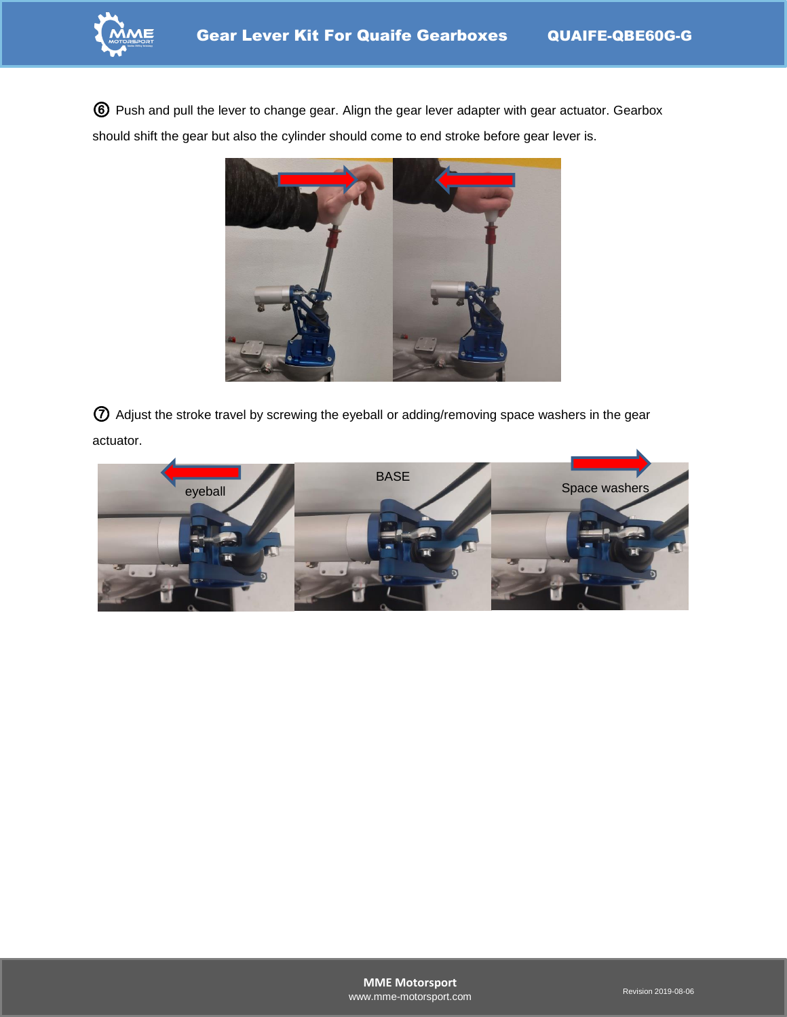

⑥ Push and pull the lever to change gear. Align the gear lever adapter with gear actuator. Gearbox should shift the gear but also the cylinder should come to end stroke before gear lever is.



⑦ Adjust the stroke travel by screwing the eyeball or adding/removing space washers in the gear actuator.

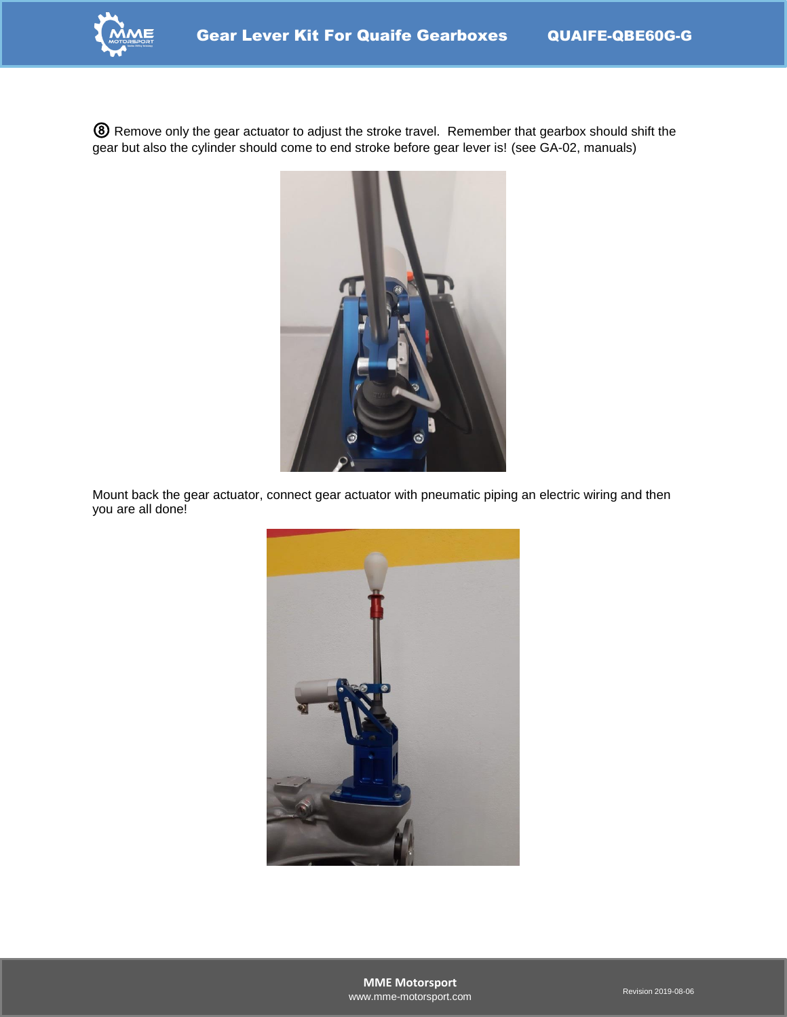

⑧ Remove only the gear actuator to adjust the stroke travel. Remember that gearbox should shift the gear but also the cylinder should come to end stroke before gear lever is! (see GA-02, manuals)



Mount back the gear actuator, connect gear actuator with pneumatic piping an electric wiring and then you are all done!

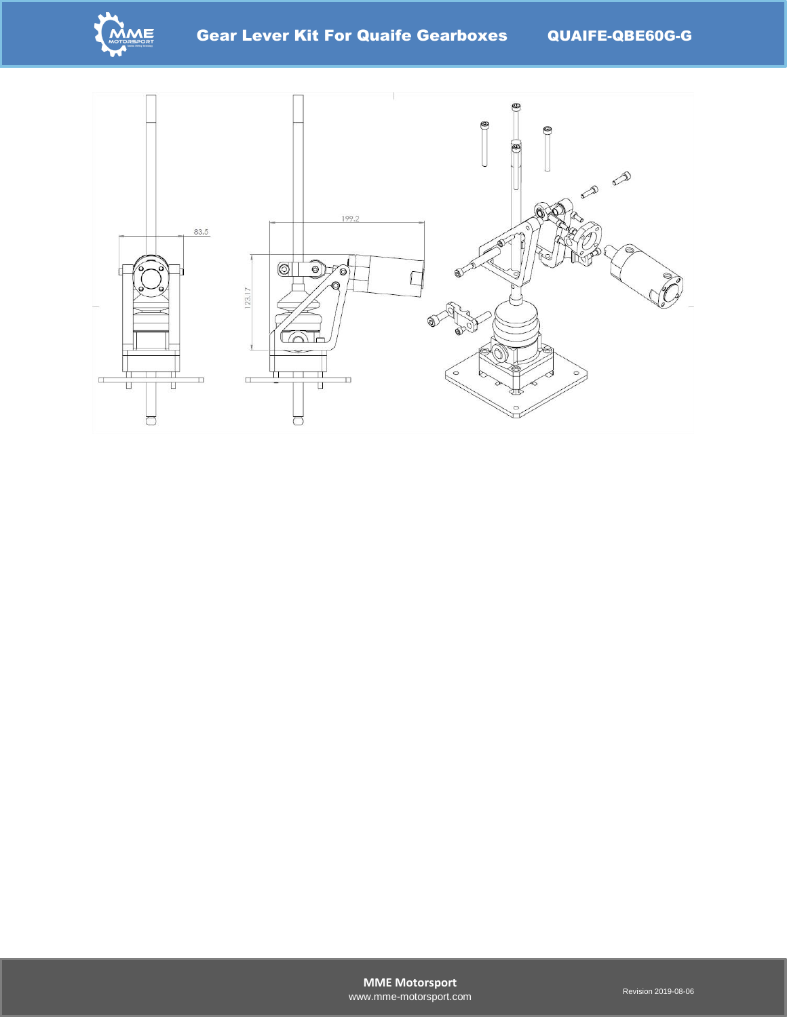

Gear Lever Kit For Quaife Gearboxes QUAIFE-QBE60G-G